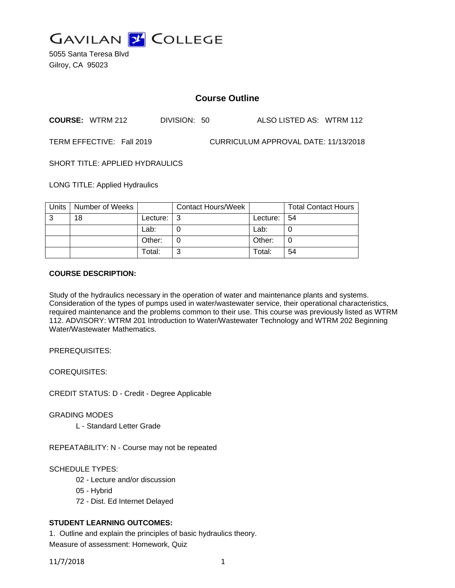

5055 Santa Teresa Blvd Gilroy, CA 95023

# **Course Outline**

**COURSE:** WTRM 212 DIVISION: 50 ALSO LISTED AS: WTRM 112

TERM EFFECTIVE: Fall 2019 CURRICULUM APPROVAL DATE: 11/13/2018

SHORT TITLE: APPLIED HYDRAULICS

LONG TITLE: Applied Hydraulics

| Units | Number of Weeks |               | <b>Contact Hours/Week</b> |          | <b>Total Contact Hours</b> |
|-------|-----------------|---------------|---------------------------|----------|----------------------------|
| 3     | 18              | Lecture: $ 3$ |                           | Lecture: | -54                        |
|       |                 | Lab:          |                           | Lab:     |                            |
|       |                 | Other:        |                           | Other:   |                            |
|       |                 | Total:        | ົ                         | Total:   | 54                         |

#### **COURSE DESCRIPTION:**

Study of the hydraulics necessary in the operation of water and maintenance plants and systems. Consideration of the types of pumps used in water/wastewater service, their operational characteristics, required maintenance and the problems common to their use. This course was previously listed as WTRM 112. ADVISORY: WTRM 201 Introduction to Water/Wastewater Technology and WTRM 202 Beginning Water/Wastewater Mathematics.

PREREQUISITES:

COREQUISITES:

CREDIT STATUS: D - Credit - Degree Applicable

GRADING MODES

L - Standard Letter Grade

REPEATABILITY: N - Course may not be repeated

SCHEDULE TYPES:

- 02 Lecture and/or discussion
- 05 Hybrid
- 72 Dist. Ed Internet Delayed

# **STUDENT LEARNING OUTCOMES:**

1. Outline and explain the principles of basic hydraulics theory. Measure of assessment: Homework, Quiz

11/7/2018 1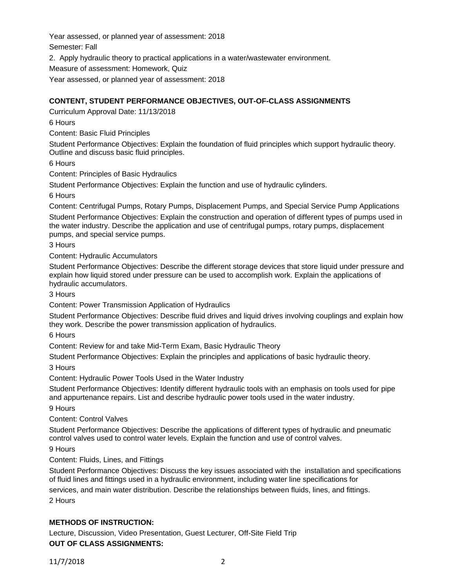Year assessed, or planned year of assessment: 2018 Semester: Fall 2. Apply hydraulic theory to practical applications in a water/wastewater environment. Measure of assessment: Homework, Quiz Year assessed, or planned year of assessment: 2018

### **CONTENT, STUDENT PERFORMANCE OBJECTIVES, OUT-OF-CLASS ASSIGNMENTS**

Curriculum Approval Date: 11/13/2018

6 Hours

Content: Basic Fluid Principles

Student Performance Objectives: Explain the foundation of fluid principles which support hydraulic theory. Outline and discuss basic fluid principles.

6 Hours

Content: Principles of Basic Hydraulics

Student Performance Objectives: Explain the function and use of hydraulic cylinders.

6 Hours

Content: Centrifugal Pumps, Rotary Pumps, Displacement Pumps, and Special Service Pump Applications

Student Performance Objectives: Explain the construction and operation of different types of pumps used in the water industry. Describe the application and use of centrifugal pumps, rotary pumps, displacement pumps, and special service pumps.

3 Hours

Content: Hydraulic Accumulators

Student Performance Objectives: Describe the different storage devices that store liquid under pressure and explain how liquid stored under pressure can be used to accomplish work. Explain the applications of hydraulic accumulators.

3 Hours

Content: Power Transmission Application of Hydraulics

Student Performance Objectives: Describe fluid drives and liquid drives involving couplings and explain how they work. Describe the power transmission application of hydraulics.

6 Hours

Content: Review for and take Mid-Term Exam, Basic Hydraulic Theory

Student Performance Objectives: Explain the principles and applications of basic hydraulic theory.

3 Hours

Content: Hydraulic Power Tools Used in the Water Industry

Student Performance Objectives: Identify different hydraulic tools with an emphasis on tools used for pipe and appurtenance repairs. List and describe hydraulic power tools used in the water industry.

9 Hours

Content: Control Valves

Student Performance Objectives: Describe the applications of different types of hydraulic and pneumatic control valves used to control water levels. Explain the function and use of control valves.

9 Hours

Content: Fluids, Lines, and Fittings

Student Performance Objectives: Discuss the key issues associated with the installation and specifications of fluid lines and fittings used in a hydraulic environment, including water line specifications for

services, and main water distribution. Describe the relationships between fluids, lines, and fittings. 2 Hours

### **METHODS OF INSTRUCTION:**

Lecture, Discussion, Video Presentation, Guest Lecturer, Off-Site Field Trip **OUT OF CLASS ASSIGNMENTS:**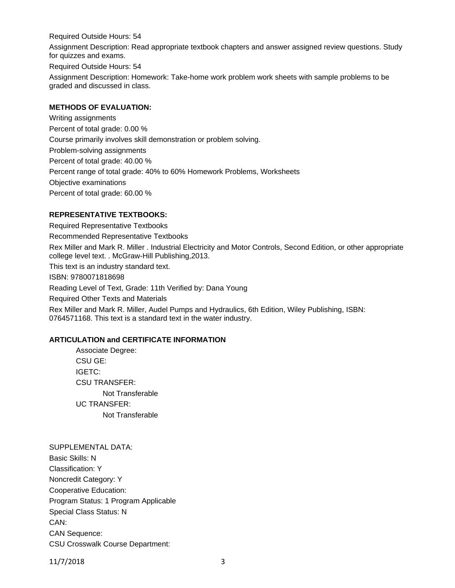Required Outside Hours: 54 Assignment Description: Read appropriate textbook chapters and answer assigned review questions. Study for quizzes and exams.

Required Outside Hours: 54

Assignment Description: Homework: Take-home work problem work sheets with sample problems to be graded and discussed in class.

#### **METHODS OF EVALUATION:**

Writing assignments Percent of total grade: 0.00 % Course primarily involves skill demonstration or problem solving. Problem-solving assignments Percent of total grade: 40.00 % Percent range of total grade: 40% to 60% Homework Problems, Worksheets Objective examinations Percent of total grade: 60.00 %

#### **REPRESENTATIVE TEXTBOOKS:**

Required Representative Textbooks Recommended Representative Textbooks Rex Miller and Mark R. Miller . Industrial Electricity and Motor Controls, Second Edition, or other appropriate college level text. . McGraw-Hill Publishing,2013. This text is an industry standard text. ISBN: 9780071818698 Reading Level of Text, Grade: 11th Verified by: Dana Young Required Other Texts and Materials Rex Miller and Mark R. Miller, Audel Pumps and Hydraulics, 6th Edition, Wiley Publishing, ISBN: 0764571168. This text is a standard text in the water industry.

# **ARTICULATION and CERTIFICATE INFORMATION**

Associate Degree: CSU GE: IGETC: CSU TRANSFER: Not Transferable UC TRANSFER: Not Transferable

SUPPLEMENTAL DATA: Basic Skills: N Classification: Y Noncredit Category: Y Cooperative Education: Program Status: 1 Program Applicable Special Class Status: N CAN: CAN Sequence: CSU Crosswalk Course Department:

11/7/2018 3